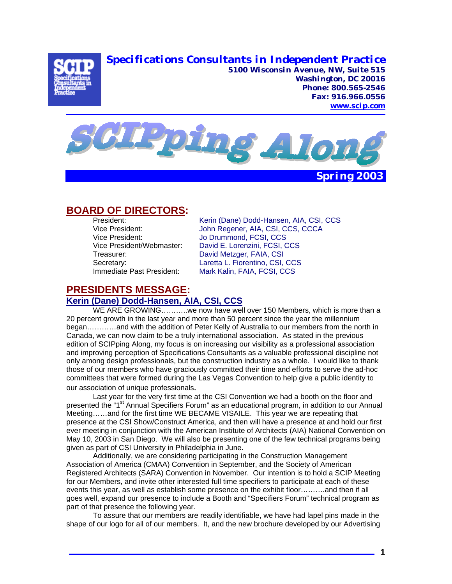**Specifications Consultants in Independent Practice** 



**5100 Wisconsin Avenue, NW, Suite 515 Washington, DC 20016 Phone: 800.565-2546 Fax: 916.966.0556 www.scip.com**



# **BOARD OF DIRECTORS:**

Vice President: <br>Vice President/Webmaster: David E. Lorenzini, FCSI, C Treasurer: David Metzger, FAIA, CSI

 President: Kerin (Dane) Dodd-Hansen, AIA, CSI, CCS Vice President: John Regener, AIA, CSI, CCS, CCCA David E. Lorenzini, FCSI, CCS Secretary: **Laretta L. Fiorentino, CSI, CCS** Immediate Past President: Mark Kalin, FAIA, FCSI, CCS

# **PRESIDENTS MESSAGE:**

# **Kerin (Dane) Dodd-Hansen, AIA, CSI, CCS**

 WE ARE GROWING………..we now have well over 150 Members, which is more than a 20 percent growth in the last year and more than 50 percent since the year the millennium began…………and with the addition of Peter Kelly of Australia to our members from the north in Canada, we can now claim to be a truly international association. As stated in the previous edition of SCIPping Along, my focus is on increasing our visibility as a professional association and improving perception of Specifications Consultants as a valuable professional discipline not only among design professionals, but the construction industry as a whole. I would like to thank those of our members who have graciously committed their time and efforts to serve the ad-hoc committees that were formed during the Las Vegas Convention to help give a public identity to our association of unique professionals.

 Last year for the very first time at the CSI Convention we had a booth on the floor and presented the "1<sup>st</sup> Annual Specifiers Forum" as an educational program, in addition to our Annual Meeting……and for the first time WE BECAME VISAILE. This year we are repeating that presence at the CSI Show/Construct America, and then will have a presence at and hold our first ever meeting in conjunction with the American Institute of Architects (AIA) National Convention on May 10, 2003 in San Diego. We will also be presenting one of the few technical programs being given as part of CSI University in Philadelphia in June.

Additionally, we are considering participating in the Construction Management Association of America (CMAA) Convention in September, and the Society of American Registered Architects (SARA) Convention in November. Our intention is to hold a SCIP Meeting for our Members, and invite other interested full time specifiers to participate at each of these events this year, as well as establish some presence on the exhibit floor……….and then if all goes well, expand our presence to include a Booth and "Specifiers Forum" technical program as part of that presence the following year.

 To assure that our members are readily identifiable, we have had lapel pins made in the shape of our logo for all of our members. It, and the new brochure developed by our Advertising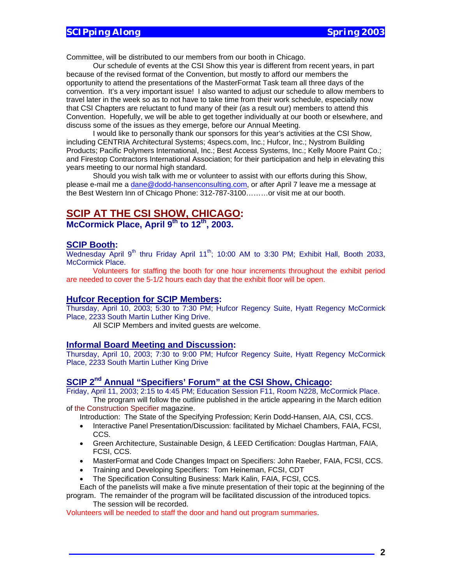Committee, will be distributed to our members from our booth in Chicago.

 Our schedule of events at the CSI Show this year is different from recent years, in part because of the revised format of the Convention, but mostly to afford our members the opportunity to attend the presentations of the MasterFormat Task team all three days of the convention. It's a very important issue! I also wanted to adjust our schedule to allow members to travel later in the week so as to not have to take time from their work schedule, especially now that CSI Chapters are reluctant to fund many of their (as a result our) members to attend this Convention. Hopefully, we will be able to get together individually at our booth or elsewhere, and discuss some of the issues as they emerge, before our Annual Meeting.

I would like to personally thank our sponsors for this year's activities at the CSI Show, including CENTRIA Architectural Systems; 4specs.com, Inc.; Hufcor, Inc.; Nystrom Building Products; Pacific Polymers International, Inc.; Best Access Systems, Inc.; Kelly Moore Paint Co.; and Firestop Contractors International Association; for their participation and help in elevating this years meeting to our normal high standard.

Should you wish talk with me or volunteer to assist with our efforts during this Show, please e-mail me a dane@dodd-hansenconsulting.com, or after April 7 leave me a message at the Best Western Inn of Chicago Phone: 312-787-3100………or visit me at our booth.

## **SCIP AT THE CSI SHOW, CHICAGO:**

McCormick Place, April 9<sup>th</sup> to 12<sup>th</sup>, 2003.

#### **SCIP Booth:**

Wednesday April 9<sup>th</sup> thru Friday April 11<sup>th</sup>; 10:00 AM to 3:30 PM; Exhibit Hall, Booth 2033, McCormick Place.

Volunteers for staffing the booth for one hour increments throughout the exhibit period are needed to cover the 5-1/2 hours each day that the exhibit floor will be open.

#### **Hufcor Reception for SCIP Members:**

Thursday, April 10, 2003; 5:30 to 7:30 PM; Hufcor Regency Suite, Hyatt Regency McCormick Place, 2233 South Martin Luther King Drive.

All SCIP Members and invited guests are welcome.

#### **Informal Board Meeting and Discussion:**

Thursday, April 10, 2003; 7:30 to 9:00 PM; Hufcor Regency Suite, Hyatt Regency McCormick Place, 2233 South Martin Luther King Drive

# SCIP 2<sup>nd</sup> Annual "Specifiers' Forum" at the CSI Show, Chicago:

Friday, April 11, 2003; 2:15 to 4:45 PM; Education Session F11, Room N228, McCormick Place.

The program will follow the outline published in the article appearing in the March edition of the Construction Specifier magazine.

Introduction: The State of the Specifying Profession; Kerin Dodd-Hansen, AIA, CSI, CCS.

- Interactive Panel Presentation/Discussion: facilitated by Michael Chambers, FAIA, FCSI, CCS.
- Green Architecture, Sustainable Design, & LEED Certification: Douglas Hartman, FAIA, FCSI, CCS.
- MasterFormat and Code Changes Impact on Specifiers: John Raeber, FAIA, FCSI, CCS.
- Training and Developing Specifiers: Tom Heineman, FCSI, CDT
- The Specification Consulting Business: Mark Kalin, FAIA, FCSI, CCS.

Each of the panelists will make a five minute presentation of their topic at the beginning of the program. The remainder of the program will be facilitated discussion of the introduced topics.

The session will be recorded.

Volunteers will be needed to staff the door and hand out program summaries.

**2**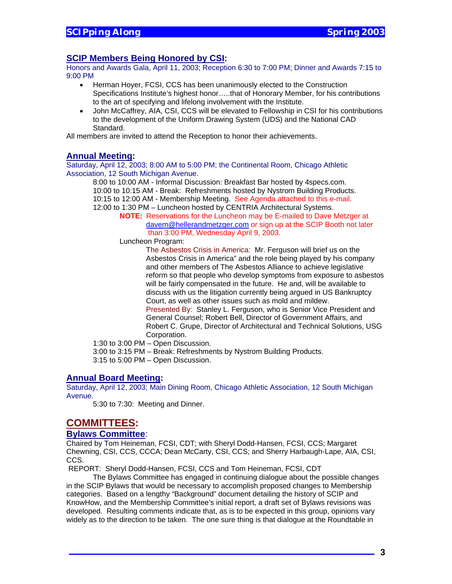## **SCIP Members Being Honored by CSI:**

Honors and Awards Gala, April 11, 2003; Reception 6:30 to 7:00 PM; Dinner and Awards 7:15 to 9:00 PM

- Herman Hoyer, FCSI, CCS has been unanimously elected to the Construction Specifications Institute's highest honor…..that of Honorary Member, for his contributions to the art of specifying and lifelong involvement with the Institute.
- John McCaffrey, AIA, CSI, CCS will be elevated to Fellowship in CSI for his contributions to the development of the Uniform Drawing System (UDS) and the National CAD Standard.

All members are invited to attend the Reception to honor their achievements.

#### **Annual Meeting:**

Saturday, April 12, 2003; 8:00 AM to 5:00 PM; the Continental Room, Chicago Athletic Association, 12 South Michigan Avenue.

 8:00 to 10:00 AM - Informal Discussion: Breakfast Bar hosted by 4specs.com. 10:00 to 10:15 AM - Break: Refreshments hosted by Nystrom Building Products. 10:15 to 12:00 AM - Membership Meeting. See Agenda attached to this e-mail. 12:00 to 1:30 PM – Luncheon hosted by CENTRIA Architectural Systems.

 **NOTE:** Reservations for the Luncheon may be E-mailed to Dave Metzger at davem@hellerandmetzger.com or sign up at the SCIP Booth not later than 3:00 PM, Wednesday April 9, 2003.

Luncheon Program:

The Asbestos Crisis in America: Mr. Ferguson will brief us on the Asbestos Crisis in America" and the role being played by his company and other members of The Asbestos Alliance to achieve legislative reform so that people who develop symptoms from exposure to asbestos will be fairly compensated in the future. He and, will be available to discuss with us the litigation currently being argued in US Bankruptcy Court, as well as other issues such as mold and mildew. Presented By: Stanley L. Ferguson, who is Senior Vice President and General Counsel; Robert Bell, Director of Government Affairs, and Robert C. Grupe, Director of Architectural and Technical Solutions, USG Corporation.

1:30 to 3:00 PM – Open Discussion.

 3:00 to 3:15 PM – Break: Refreshments by Nystrom Building Products. 3:15 to 5:00 PM – Open Discussion.

#### **Annual Board Meeting:**

Saturday, April 12, 2003; Main Dining Room, Chicago Athletic Association, 12 South Michigan Avenue.

5:30 to 7:30: Meeting and Dinner.

## **COMMITTEES:**

#### **Bylaws Committee**:

Chaired by Tom Heineman, FCSI, CDT; with Sheryl Dodd-Hansen, FCSI, CCS; Margaret Chewning, CSI, CCS, CCCA; Dean McCarty, CSI, CCS; and Sherry Harbaugh-Lape, AIA, CSI, CCS.

REPORT: Sheryl Dodd-Hansen, FCSI, CCS and Tom Heineman, FCSI, CDT

 The Bylaws Committee has engaged in continuing dialogue about the possible changes in the SCIP Bylaws that would be necessary to accomplish proposed changes to Membership categories. Based on a lengthy "Background" document detailing the history of SCIP and KnowHow, and the Membership Committee's initial report, a draft set of Bylaws revisions was developed. Resulting comments indicate that, as is to be expected in this group, opinions vary widely as to the direction to be taken. The one sure thing is that dialogue at the Roundtable in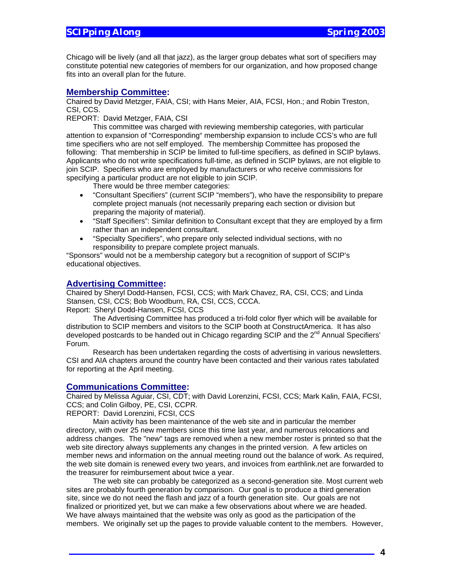Chicago will be lively (and all that jazz), as the larger group debates what sort of specifiers may constitute potential new categories of members for our organization, and how proposed change fits into an overall plan for the future.

#### **Membership Committee:**

Chaired by David Metzger, FAIA, CSI; with Hans Meier, AIA, FCSI, Hon.; and Robin Treston, CSI, CCS.

REPORT: David Metzger, FAIA, CSI

 This committee was charged with reviewing membership categories, with particular attention to expansion of "Corresponding" membership expansion to include CCS's who are full time specifiers who are not self employed. The membership Committee has proposed the following: That membership in SCIP be limited to full-time specifiers, as defined in SCIP bylaws. Applicants who do not write specifications full-time, as defined in SCIP bylaws, are not eligible to join SCIP. Specifiers who are employed by manufacturers or who receive commissions for specifying a particular product are not eligible to join SCIP.

There would be three member categories:

- "Consultant Specifiers" (current SCIP "members"), who have the responsibility to prepare complete project manuals (not necessarily preparing each section or division but preparing the majority of material).
- "Staff Specifiers": Similar definition to Consultant except that they are employed by a firm rather than an independent consultant.
- "Specialty Specifiers", who prepare only selected individual sections, with no responsibility to prepare complete project manuals.

"Sponsors" would not be a membership category but a recognition of support of SCIP's educational objectives.

#### **Advertising Committee:**

Chaired by Sheryl Dodd-Hansen, FCSI, CCS; with Mark Chavez, RA, CSI, CCS; and Linda Stansen, CSI, CCS; Bob Woodburn, RA, CSI, CCS, CCCA. Report: Sheryl Dodd-Hansen, FCSI, CCS

The Advertising Committee has produced a tri-fold color flyer which will be available for distribution to SCIP members and visitors to the SCIP booth at ConstructAmerica. It has also developed postcards to be handed out in Chicago regarding SCIP and the  $2^{nd}$  Annual Specifiers' Forum.

Research has been undertaken regarding the costs of advertising in various newsletters. CSI and AIA chapters around the country have been contacted and their various rates tabulated for reporting at the April meeting.

#### **Communications Committee:**

Chaired by Melissa Aguiar, CSI, CDT; with David Lorenzini, FCSI, CCS; Mark Kalin, FAIA, FCSI, CCS; and Colin Gilboy, PE, CSI, CCPR.

REPORT: David Lorenzini, FCSI, CCS

Main activity has been maintenance of the web site and in particular the member directory, with over 25 new members since this time last year, and numerous relocations and address changes. The "new" tags are removed when a new member roster is printed so that the web site directory always supplements any changes in the printed version. A few articles on member news and information on the annual meeting round out the balance of work. As required, the web site domain is renewed every two years, and invoices from earthlink.net are forwarded to the treasurer for reimbursement about twice a year.

The web site can probably be categorized as a second-generation site. Most current web sites are probably fourth generation by comparison. Our goal is to produce a third generation site, since we do not need the flash and jazz of a fourth generation site. Our goals are not finalized or prioritized yet, but we can make a few observations about where we are headed. We have always maintained that the website was only as good as the participation of the members. We originally set up the pages to provide valuable content to the members. However,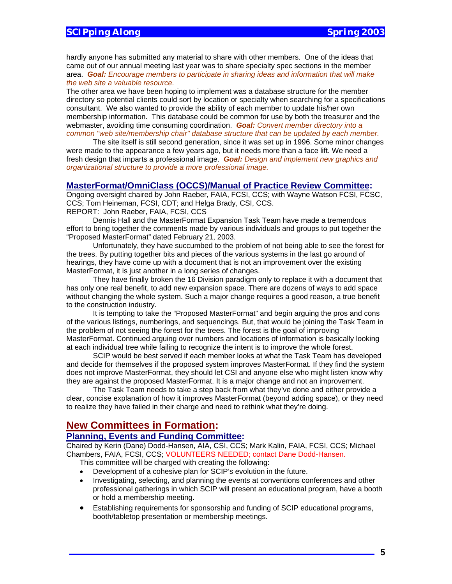hardly anyone has submitted any material to share with other members. One of the ideas that came out of our annual meeting last year was to share specialty spec sections in the member area. *Goal: Encourage members to participate in sharing ideas and information that will make the web site a valuable resource.*

The other area we have been hoping to implement was a database structure for the member directory so potential clients could sort by location or specialty when searching for a specifications consultant. We also wanted to provide the ability of each member to update his/her own membership information. This database could be common for use by both the treasurer and the webmaster, avoiding time consuming coordination. *Goal: Convert member directory into a common "web site/membership chair" database structure that can be updated by each member.* 

 The site itself is still second generation, since it was set up in 1996. Some minor changes were made to the appearance a few years ago, but it needs more than a face lift. We need a fresh design that imparts a professional image. *Goal: Design and implement new graphics and organizational structure to provide a more professional image.*

#### **MasterFormat/OmniClass (OCCS)/Manual of Practice Review Committee:**

Ongoing oversight chaired by John Raeber, FAIA, FCSI, CCS; with Wayne Watson FCSI, FCSC, CCS; Tom Heineman, FCSI, CDT; and Helga Brady, CSI, CCS. REPORT: John Raeber, FAIA, FCSI, CCS

Dennis Hall and the MasterFormat Expansion Task Team have made a tremendous effort to bring together the comments made by various individuals and groups to put together the "Proposed MasterFormat" dated February 21, 2003.

 Unfortunately, they have succumbed to the problem of not being able to see the forest for the trees. By putting together bits and pieces of the various systems in the last go around of hearings, they have come up with a document that is not an improvement over the existing MasterFormat, it is just another in a long series of changes.

 They have finally broken the 16 Division paradigm only to replace it with a document that has only one real benefit, to add new expansion space. There are dozens of ways to add space without changing the whole system. Such a major change requires a good reason, a true benefit to the construction industry.

 It is tempting to take the "Proposed MasterFormat" and begin arguing the pros and cons of the various listings, numberings, and sequencings. But, that would be joining the Task Team in the problem of not seeing the forest for the trees. The forest is the goal of improving MasterFormat. Continued arguing over numbers and locations of information is basically looking at each individual tree while failing to recognize the intent is to improve the whole forest.

 SCIP would be best served if each member looks at what the Task Team has developed and decide for themselves if the proposed system improves MasterFormat. If they find the system does not improve MasterFormat, they should let CSI and anyone else who might listen know why they are against the proposed MasterFormat. It is a major change and not an improvement.

 The Task Team needs to take a step back from what they've done and either provide a clear, concise explanation of how it improves MasterFormat (beyond adding space), or they need to realize they have failed in their charge and need to rethink what they're doing.

# **New Committees in Formation:**

#### **Planning, Events and Funding Committee:**

Chaired by Kerin (Dane) Dodd-Hansen, AIA, CSI, CCS; Mark Kalin, FAIA, FCSI, CCS; Michael Chambers, FAIA, FCSI, CCS; VOLUNTEERS NEEDED; contact Dane Dodd-Hansen.

This committee will be charged with creating the following:

- Development of a cohesive plan for SCIP's evolution in the future.
- Investigating, selecting, and planning the events at conventions conferences and other professional gatherings in which SCIP will present an educational program, have a booth or hold a membership meeting.
- Establishing requirements for sponsorship and funding of SCIP educational programs, booth/tabletop presentation or membership meetings.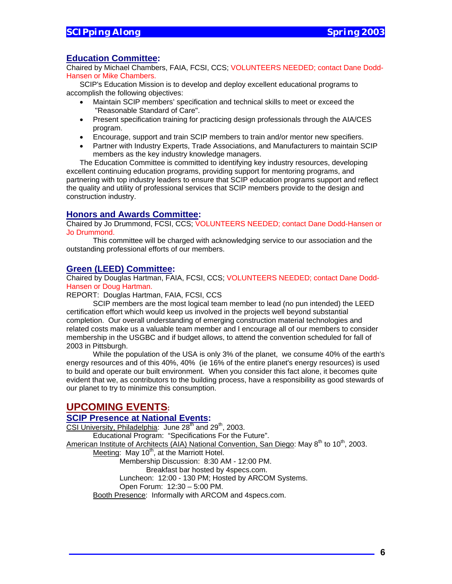#### **Education Committee:**

Chaired by Michael Chambers, FAIA, FCSI, CCS; VOLUNTEERS NEEDED; contact Dane Dodd-Hansen or Mike Chambers.

SCIP's Education Mission is to develop and deploy excellent educational programs to accomplish the following objectives:

- Maintain SCIP members' specification and technical skills to meet or exceed the "Reasonable Standard of Care".
- Present specification training for practicing design professionals through the AIA/CES program.
- Encourage, support and train SCIP members to train and/or mentor new specifiers.
- Partner with Industry Experts, Trade Associations, and Manufacturers to maintain SCIP members as the key industry knowledge managers.

The Education Committee is committed to identifying key industry resources, developing excellent continuing education programs, providing support for mentoring programs, and partnering with top industry leaders to ensure that SCIP education programs support and reflect the quality and utility of professional services that SCIP members provide to the design and construction industry.

#### **Honors and Awards Committee:**

Chaired by Jo Drummond, FCSI, CCS; VOLUNTEERS NEEDED; contact Dane Dodd-Hansen or Jo Drummond.

This committee will be charged with acknowledging service to our association and the outstanding professional efforts of our members.

#### **Green (LEED) Committee:**

Chaired by Douglas Hartman, FAIA, FCSI, CCS; VOLUNTEERS NEEDED; contact Dane Dodd-Hansen or Doug Hartman.

REPORT: Douglas Hartman, FAIA, FCSI, CCS

SCIP members are the most logical team member to lead (no pun intended) the LEED certification effort which would keep us involved in the projects well beyond substantial completion. Our overall understanding of emerging construction material technologies and related costs make us a valuable team member and I encourage all of our members to consider membership in the USGBC and if budget allows, to attend the convention scheduled for fall of 2003 in Pittsburgh.

While the population of the USA is only 3% of the planet, we consume 40% of the earth's energy resources and of this 40%, 40% (ie 16% of the entire planet's energy resources) is used to build and operate our built environment. When you consider this fact alone, it becomes quite evident that we, as contributors to the building process, have a responsibility as good stewards of our planet to try to minimize this consumption.

## **UPCOMING EVENTS:**

#### **SCIP Presence at National Events:**

CSI University, Philadelphia: June  $28<sup>th</sup>$  and  $29<sup>th</sup>$ , 2003. Educational Program: "Specifications For the Future". American Institute of Architects (AIA) National Convention, San Diego: May 8<sup>th</sup> to 10<sup>th</sup>, 2003. Meeting: May  $10<sup>th</sup>$ , at the Marriott Hotel. Membership Discussion: 8:30 AM - 12:00 PM. Breakfast bar hosted by 4specs.com. Luncheon: 12:00 - 130 PM; Hosted by ARCOM Systems. Open Forum: 12:30 – 5:00 PM. Booth Presence: Informally with ARCOM and 4specs.com.